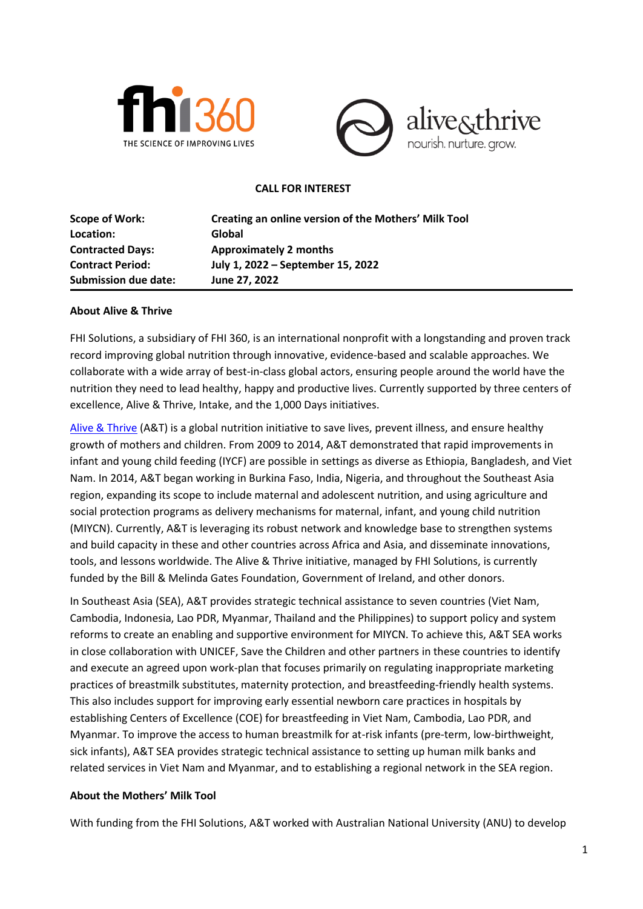



#### **CALL FOR INTEREST**

| Creating an online version of the Mothers' Milk Tool |
|------------------------------------------------------|
| Global                                               |
| <b>Approximately 2 months</b>                        |
| July 1, 2022 - September 15, 2022                    |
| June 27, 2022                                        |
|                                                      |

#### **About Alive & Thrive**

FHI Solutions, a subsidiary of FHI 360, is an international nonprofit with a longstanding and proven track record improving global nutrition through innovative, evidence-based and scalable approaches. We collaborate with a wide array of best-in-class global actors, ensuring people around the world have the nutrition they need to lead healthy, happy and productive lives. Currently supported by three centers of excellence, Alive & Thrive, Intake, and the 1,000 Days initiatives.

[Alive & Thrive](https://www.aliveandthrive.org/) (A&T) is a global nutrition initiative to save lives, prevent illness, and ensure healthy growth of mothers and children. From 2009 to 2014, A&T demonstrated that rapid improvements in infant and young child feeding (IYCF) are possible in settings as diverse as Ethiopia, Bangladesh, and Viet Nam. In 2014, A&T began working in Burkina Faso, India, Nigeria, and throughout the Southeast Asia region, expanding its scope to include maternal and adolescent nutrition, and using agriculture and social protection programs as delivery mechanisms for maternal, infant, and young child nutrition (MIYCN). Currently, A&T is leveraging its robust network and knowledge base to strengthen systems and build capacity in these and other countries across Africa and Asia, and disseminate innovations, tools, and lessons worldwide. The Alive & Thrive initiative, managed by FHI Solutions, is currently funded by the Bill & Melinda Gates Foundation, Government of Ireland, and other donors.

In Southeast Asia (SEA), A&T provides strategic technical assistance to seven countries (Viet Nam, Cambodia, Indonesia, Lao PDR, Myanmar, Thailand and the Philippines) to support policy and system reforms to create an enabling and supportive environment for MIYCN. To achieve this, A&T SEA works in close collaboration with UNICEF, Save the Children and other partners in these countries to identify and execute an agreed upon work-plan that focuses primarily on regulating inappropriate marketing practices of breastmilk substitutes, maternity protection, and breastfeeding-friendly health systems. This also includes support for improving early essential newborn care practices in hospitals by establishing Centers of Excellence (COE) for breastfeeding in Viet Nam, Cambodia, Lao PDR, and Myanmar. To improve the access to human breastmilk for at-risk infants (pre-term, low-birthweight, sick infants), A&T SEA provides strategic technical assistance to setting up human milk banks and related services in Viet Nam and Myanmar, and to establishing a regional network in the SEA region.

#### **About the Mothers' Milk Tool**

With funding from the FHI Solutions, A&T worked with Australian National University (ANU) to develop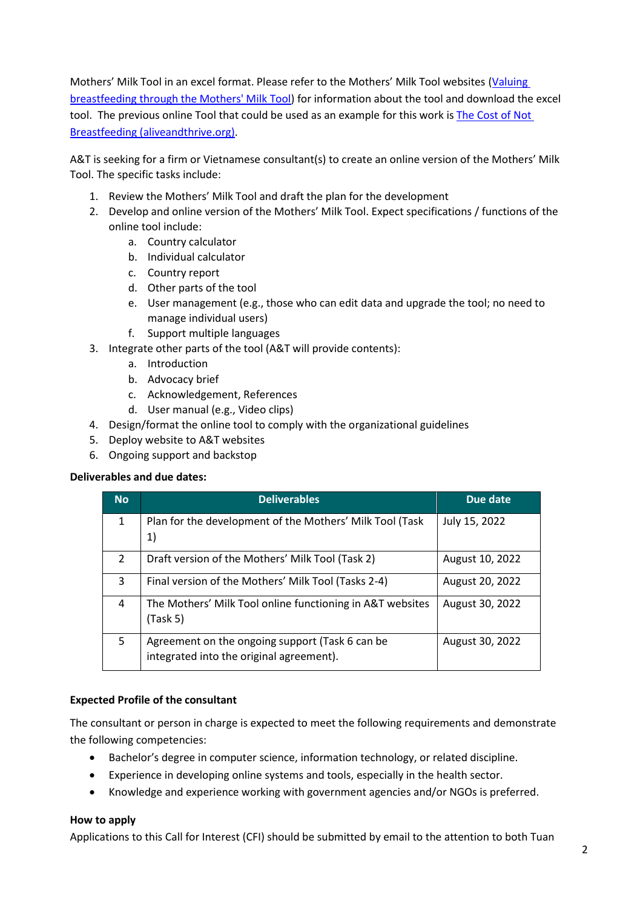Mothers' Milk Tool in an excel format. Please refer to the Mothers' Milk Tool websites [\(Valuing](https://nceph.anu.edu.au/research/projects/valuing-breastfeeding-through-mothers-milk-tool)  [breastfeeding through the Mothers' Milk Tool\)](https://nceph.anu.edu.au/research/projects/valuing-breastfeeding-through-mothers-milk-tool) for information about the tool and download the excel tool. The previous online Tool that could be used as an example for this work is [The Cost of Not](https://www.aliveandthrive.org/en/the-cost-of-not-breastfeeding)  [Breastfeeding \(aliveandthrive.org\).](https://www.aliveandthrive.org/en/the-cost-of-not-breastfeeding)

A&T is seeking for a firm or Vietnamese consultant(s) to create an online version of the Mothers' Milk Tool. The specific tasks include:

- 1. Review the Mothers' Milk Tool and draft the plan for the development
- 2. Develop and online version of the Mothers' Milk Tool. Expect specifications / functions of the online tool include:
	- a. Country calculator
	- b. Individual calculator
	- c. Country report
	- d. Other parts of the tool
	- e. User management (e.g., those who can edit data and upgrade the tool; no need to manage individual users)
	- f. Support multiple languages
- 3. Integrate other parts of the tool (A&T will provide contents):
	- a. Introduction
	- b. Advocacy brief
	- c. Acknowledgement, References
	- d. User manual (e.g., Video clips)
- 4. Design/format the online tool to comply with the organizational guidelines
- 5. Deploy website to A&T websites
- 6. Ongoing support and backstop

### **Deliverables and due dates:**

| <b>No</b>      | <b>Deliverables</b>                                                                         | Due date        |
|----------------|---------------------------------------------------------------------------------------------|-----------------|
| $\mathbf{1}$   | Plan for the development of the Mothers' Milk Tool (Task<br>1)                              | July 15, 2022   |
| $\overline{2}$ | Draft version of the Mothers' Milk Tool (Task 2)                                            | August 10, 2022 |
| 3              | Final version of the Mothers' Milk Tool (Tasks 2-4)                                         | August 20, 2022 |
| 4              | The Mothers' Milk Tool online functioning in A&T websites<br>(Task 5)                       | August 30, 2022 |
| 5              | Agreement on the ongoing support (Task 6 can be<br>integrated into the original agreement). | August 30, 2022 |

### **Expected Profile of the consultant**

The consultant or person in charge is expected to meet the following requirements and demonstrate the following competencies:

- Bachelor's degree in computer science, information technology, or related discipline.
- Experience in developing online systems and tools, especially in the health sector.
- Knowledge and experience working with government agencies and/or NGOs is preferred.

### **How to apply**

Applications to this Call for Interest (CFI) should be submitted by email to the attention to both Tuan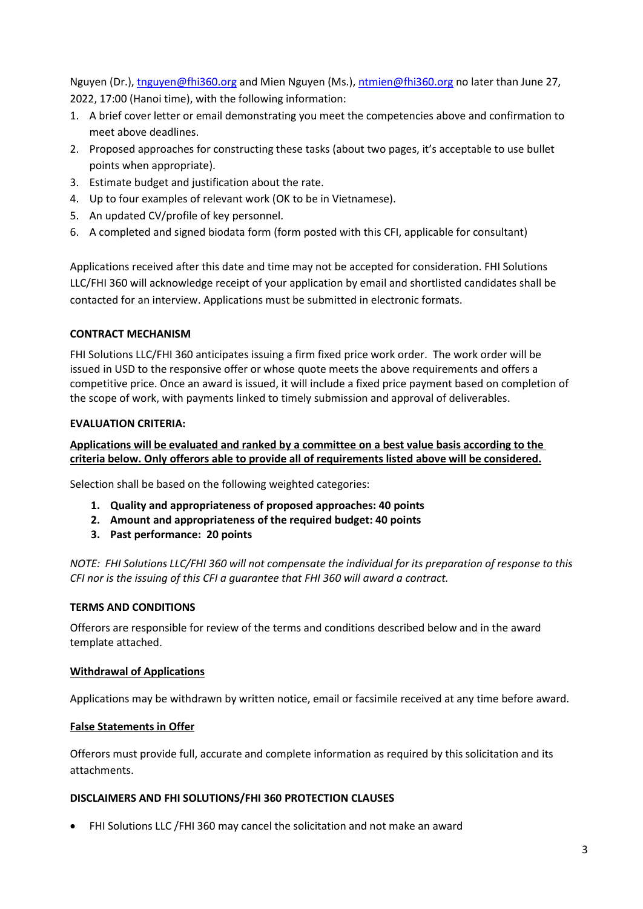Nguyen (Dr.), tnguyen@fhi360.org and Mien Nguyen (Ms.), [ntmien@fhi360.org](mailto:ntmien@fhi360.org) no later than June 27, 2022, 17:00 (Hanoi time), with the following information:

- 1. A brief cover letter or email demonstrating you meet the competencies above and confirmation to meet above deadlines.
- 2. Proposed approaches for constructing these tasks (about two pages, it's acceptable to use bullet points when appropriate).
- 3. Estimate budget and justification about the rate.
- 4. Up to four examples of relevant work (OK to be in Vietnamese).
- 5. An updated CV/profile of key personnel.
- 6. A completed and signed biodata form (form posted with this CFI, applicable for consultant)

Applications received after this date and time may not be accepted for consideration. FHI Solutions LLC/FHI 360 will acknowledge receipt of your application by email and shortlisted candidates shall be contacted for an interview. Applications must be submitted in electronic formats.

## **CONTRACT MECHANISM**

FHI Solutions LLC/FHI 360 anticipates issuing a firm fixed price work order. The work order will be issued in USD to the responsive offer or whose quote meets the above requirements and offers a competitive price. Once an award is issued, it will include a fixed price payment based on completion of the scope of work, with payments linked to timely submission and approval of deliverables.

### **EVALUATION CRITERIA:**

### **Applications will be evaluated and ranked by a committee on a best value basis according to the criteria below. Only offerors able to provide all of requirements listed above will be considered.**

Selection shall be based on the following weighted categories:

- **1. Quality and appropriateness of proposed approaches: 40 points**
- **2. Amount and appropriateness of the required budget: 40 points**
- **3. Past performance: 20 points**

*NOTE: FHI Solutions LLC/FHI 360 will not compensate the individual for its preparation of response to this CFI nor is the issuing of this CFI a guarantee that FHI 360 will award a contract.* 

### **TERMS AND CONDITIONS**

Offerors are responsible for review of the terms and conditions described below and in the award template attached.

### **Withdrawal of Applications**

Applications may be withdrawn by written notice, email or facsimile received at any time before award.

# **False Statements in Offer**

Offerors must provide full, accurate and complete information as required by this solicitation and its attachments.

### **DISCLAIMERS AND FHI SOLUTIONS/FHI 360 PROTECTION CLAUSES**

• FHI Solutions LLC /FHI 360 may cancel the solicitation and not make an award